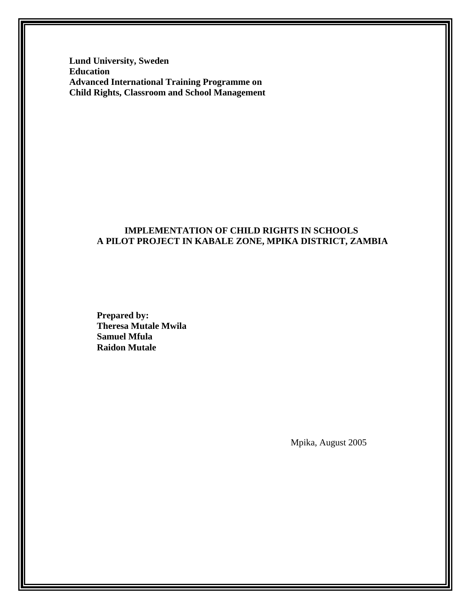**Lund University, Sweden Education Advanced International Training Programme on Child Rights, Classroom and School Management**

# **IMPLEMENTATION OF CHILD RIGHTS IN SCHOOLS A PILOT PROJECT IN KABALE ZONE, MPIKA DISTRICT, ZAMBIA**

**Prepared by: Theresa Mutale Mwila Samuel Mfula Raidon Mutale**

Mpika, August 2005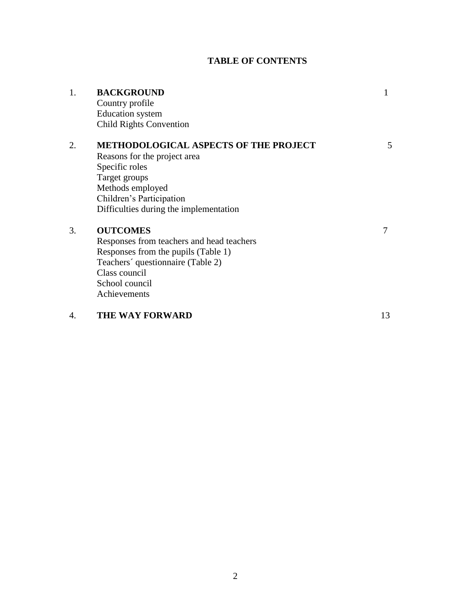# **TABLE OF CONTENTS**

| 1. | <b>BACKGROUND</b>                            |    |
|----|----------------------------------------------|----|
|    | Country profile                              |    |
|    | <b>Education</b> system                      |    |
|    | <b>Child Rights Convention</b>               |    |
| 2. | <b>METHODOLOGICAL ASPECTS OF THE PROJECT</b> | 5  |
|    | Reasons for the project area                 |    |
|    | Specific roles                               |    |
|    | Target groups                                |    |
|    | Methods employed                             |    |
|    | Children's Participation                     |    |
|    | Difficulties during the implementation       |    |
| 3. | <b>OUTCOMES</b>                              | 7  |
|    | Responses from teachers and head teachers    |    |
|    | Responses from the pupils (Table 1)          |    |
|    | Teachers' questionnaire (Table 2)            |    |
|    | Class council                                |    |
|    | School council                               |    |
|    | Achievements                                 |    |
| 4. | <b>THE WAY FORWARD</b>                       | 13 |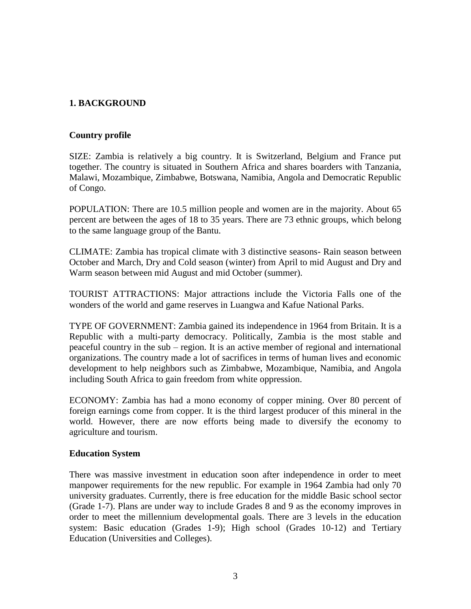## **1. BACKGROUND**

#### **Country profile**

SIZE: Zambia is relatively a big country. It is Switzerland, Belgium and France put together. The country is situated in Southern Africa and shares boarders with Tanzania, Malawi, Mozambique, Zimbabwe, Botswana, Namibia, Angola and Democratic Republic of Congo.

POPULATION: There are 10.5 million people and women are in the majority. About 65 percent are between the ages of 18 to 35 years. There are 73 ethnic groups, which belong to the same language group of the Bantu.

CLIMATE: Zambia has tropical climate with 3 distinctive seasons- Rain season between October and March, Dry and Cold season (winter) from April to mid August and Dry and Warm season between mid August and mid October (summer).

TOURIST ATTRACTIONS: Major attractions include the Victoria Falls one of the wonders of the world and game reserves in Luangwa and Kafue National Parks.

TYPE OF GOVERNMENT: Zambia gained its independence in 1964 from Britain. It is a Republic with a multi-party democracy. Politically, Zambia is the most stable and peaceful country in the sub – region. It is an active member of regional and international organizations. The country made a lot of sacrifices in terms of human lives and economic development to help neighbors such as Zimbabwe, Mozambique, Namibia, and Angola including South Africa to gain freedom from white oppression.

ECONOMY: Zambia has had a mono economy of copper mining. Over 80 percent of foreign earnings come from copper. It is the third largest producer of this mineral in the world. However, there are now efforts being made to diversify the economy to agriculture and tourism.

#### **Education System**

There was massive investment in education soon after independence in order to meet manpower requirements for the new republic. For example in 1964 Zambia had only 70 university graduates. Currently, there is free education for the middle Basic school sector (Grade 1-7). Plans are under way to include Grades 8 and 9 as the economy improves in order to meet the millennium developmental goals. There are 3 levels in the education system: Basic education (Grades 1-9); High school (Grades 10-12) and Tertiary Education (Universities and Colleges).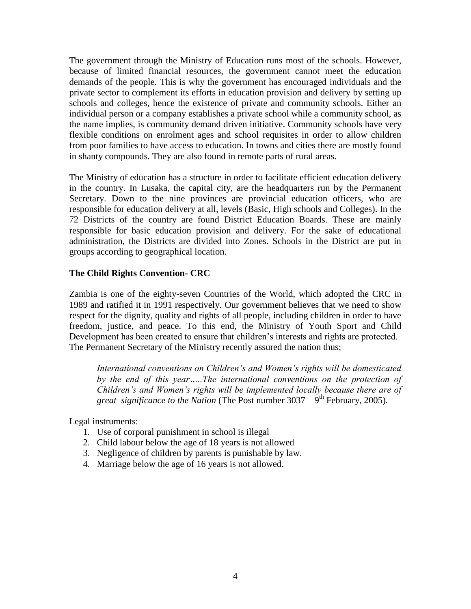The government through the Ministry of Education runs most of the schools. However, because of limited financial resources, the government cannot meet the education demands of the people. This is why the government has encouraged individuals and the private sector to complement its efforts in education provision and delivery by setting up schools and colleges, hence the existence of private and community schools. Either an individual person or a company establishes a private school while a community school, as the name implies, is community demand driven initiative. Community schools have very flexible conditions on enrolment ages and school requisites in order to allow children from poor families to have access to education. In towns and cities there are mostly found in shanty compounds. They are also found in remote parts of rural areas.

The Ministry of education has a structure in order to facilitate efficient education delivery in the country. In Lusaka, the capital city, are the headquarters run by the Permanent Secretary. Down to the nine provinces are provincial education officers, who are responsible for education delivery at all, levels (Basic, High schools and Colleges). In the 72 Districts of the country are found District Education Boards. These are mainly responsible for basic education provision and delivery. For the sake of educational administration, the Districts are divided into Zones. Schools in the District are put in groups according to geographical location.

# **The Child Rights Convention- CRC**

Zambia is one of the eighty-seven Countries of the World, which adopted the CRC in 1989 and ratified it in 1991 respectively. Our government believes that we need to show respect for the dignity, quality and rights of all people, including children in order to have freedom, justice, and peace. To this end, the Ministry of Youth Sport and Child Development has been created to ensure that children's interests and rights are protected. The Permanent Secretary of the Ministry recently assured the nation thus;

*International conventions on Children's and Women's rights will be domesticated by the end of this year…..The international conventions on the protection of Children's and Women's rights will be implemented locally because there are of*  great significance to the Nation (The Post number 3037—9<sup>th</sup> February, 2005).

Legal instruments:

- 1. Use of corporal punishment in school is illegal
- 2. Child labour below the age of 18 years is not allowed
- 3. Negligence of children by parents is punishable by law.
- 4. Marriage below the age of 16 years is not allowed.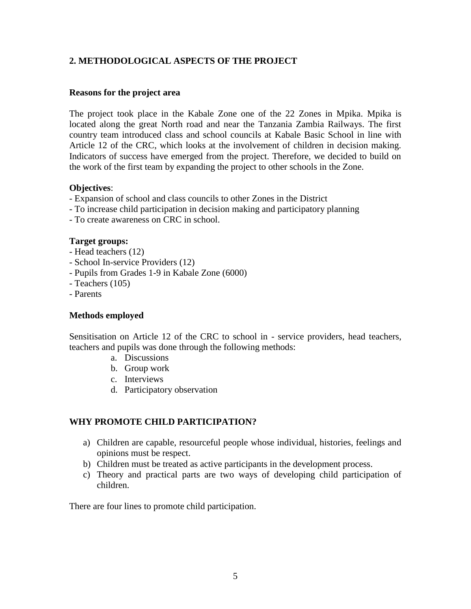# **2. METHODOLOGICAL ASPECTS OF THE PROJECT**

#### **Reasons for the project area**

The project took place in the Kabale Zone one of the 22 Zones in Mpika. Mpika is located along the great North road and near the Tanzania Zambia Railways. The first country team introduced class and school councils at Kabale Basic School in line with Article 12 of the CRC, which looks at the involvement of children in decision making. Indicators of success have emerged from the project. Therefore, we decided to build on the work of the first team by expanding the project to other schools in the Zone.

#### **Objectives**:

- Expansion of school and class councils to other Zones in the District
- To increase child participation in decision making and participatory planning
- To create awareness on CRC in school.

#### **Target groups:**

- Head teachers (12)
- School In-service Providers (12)
- Pupils from Grades 1-9 in Kabale Zone (6000)
- Teachers (105)
- Parents

#### **Methods employed**

Sensitisation on Article 12 of the CRC to school in - service providers, head teachers, teachers and pupils was done through the following methods:

- a. Discussions
- b. Group work
- c. Interviews
- d. Participatory observation

#### **WHY PROMOTE CHILD PARTICIPATION?**

- a) Children are capable, resourceful people whose individual, histories, feelings and opinions must be respect.
- b) Children must be treated as active participants in the development process.
- c) Theory and practical parts are two ways of developing child participation of children.

There are four lines to promote child participation.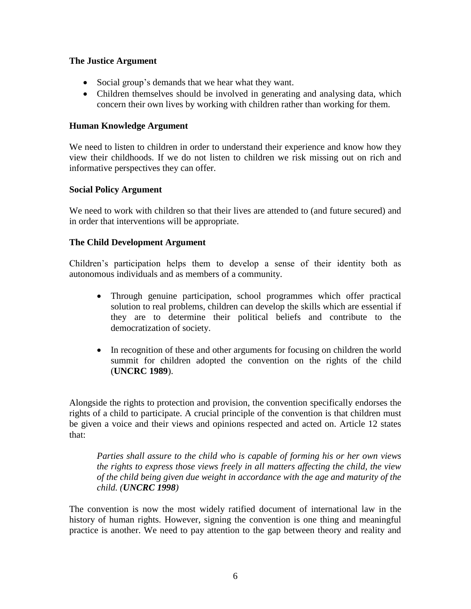## **The Justice Argument**

- Social group's demands that we hear what they want.
- Children themselves should be involved in generating and analysing data, which concern their own lives by working with children rather than working for them.

### **Human Knowledge Argument**

We need to listen to children in order to understand their experience and know how they view their childhoods. If we do not listen to children we risk missing out on rich and informative perspectives they can offer.

## **Social Policy Argument**

We need to work with children so that their lives are attended to (and future secured) and in order that interventions will be appropriate.

## **The Child Development Argument**

Children's participation helps them to develop a sense of their identity both as autonomous individuals and as members of a community.

- Through genuine participation, school programmes which offer practical solution to real problems, children can develop the skills which are essential if they are to determine their political beliefs and contribute to the democratization of society.
- In recognition of these and other arguments for focusing on children the world summit for children adopted the convention on the rights of the child (**UNCRC 1989**).

Alongside the rights to protection and provision, the convention specifically endorses the rights of a child to participate. A crucial principle of the convention is that children must be given a voice and their views and opinions respected and acted on. Article 12 states that:

*Parties shall assure to the child who is capable of forming his or her own views the rights to express those views freely in all matters affecting the child, the view of the child being given due weight in accordance with the age and maturity of the child. (UNCRC 1998)*

The convention is now the most widely ratified document of international law in the history of human rights. However, signing the convention is one thing and meaningful practice is another. We need to pay attention to the gap between theory and reality and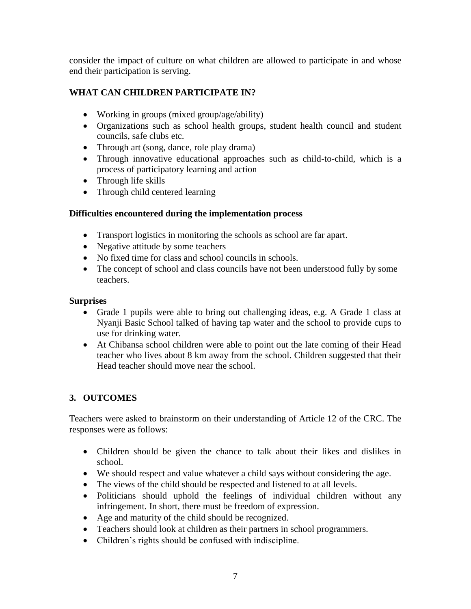consider the impact of culture on what children are allowed to participate in and whose end their participation is serving.

# **WHAT CAN CHILDREN PARTICIPATE IN?**

- Working in groups (mixed group/age/ability)
- Organizations such as school health groups, student health council and student councils, safe clubs etc.
- Through art (song, dance, role play drama)
- Through innovative educational approaches such as child-to-child, which is a process of participatory learning and action
- Through life skills
- Through child centered learning

# **Difficulties encountered during the implementation process**

- Transport logistics in monitoring the schools as school are far apart.
- Negative attitude by some teachers
- No fixed time for class and school councils in schools.
- The concept of school and class councils have not been understood fully by some teachers.

# **Surprises**

- Grade 1 pupils were able to bring out challenging ideas, e.g. A Grade 1 class at Nyanji Basic School talked of having tap water and the school to provide cups to use for drinking water.
- At Chibansa school children were able to point out the late coming of their Head teacher who lives about 8 km away from the school. Children suggested that their Head teacher should move near the school.

# **3. OUTCOMES**

Teachers were asked to brainstorm on their understanding of Article 12 of the CRC. The responses were as follows:

- Children should be given the chance to talk about their likes and dislikes in school.
- We should respect and value whatever a child says without considering the age.
- The views of the child should be respected and listened to at all levels.
- Politicians should uphold the feelings of individual children without any infringement. In short, there must be freedom of expression.
- Age and maturity of the child should be recognized.
- Teachers should look at children as their partners in school programmers.
- Children's rights should be confused with indiscipline.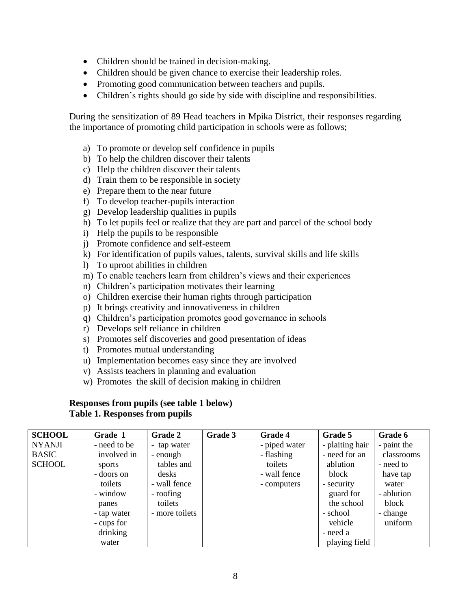- Children should be trained in decision-making.
- Children should be given chance to exercise their leadership roles.
- Promoting good communication between teachers and pupils.
- Children's rights should go side by side with discipline and responsibilities.

During the sensitization of 89 Head teachers in Mpika District, their responses regarding the importance of promoting child participation in schools were as follows;

- a) To promote or develop self confidence in pupils
- b) To help the children discover their talents
- c) Help the children discover their talents
- d) Train them to be responsible in society
- e) Prepare them to the near future
- f) To develop teacher-pupils interaction
- g) Develop leadership qualities in pupils
- h) To let pupils feel or realize that they are part and parcel of the school body
- i) Help the pupils to be responsible
- j) Promote confidence and self-esteem
- k) For identification of pupils values, talents, survival skills and life skills
- l) To uproot abilities in children
- m) To enable teachers learn from children's views and their experiences
- n) Children's participation motivates their learning
- o) Children exercise their human rights through participation
- p) It brings creativity and innovativeness in children
- q) Children's participation promotes good governance in schools
- r) Develops self reliance in children
- s) Promotes self discoveries and good presentation of ideas
- t) Promotes mutual understanding
- u) Implementation becomes easy since they are involved
- v) Assists teachers in planning and evaluation
- w) Promotes the skill of decision making in children

#### **Responses from pupils (see table 1 below) Table 1. Responses from pupils**

| <b>SCHOOL</b> | Grade 1      | <b>Grade 2</b> | Grade 3 | Grade 4       | Grade 5         | Grade 6     |
|---------------|--------------|----------------|---------|---------------|-----------------|-------------|
| <b>NYANJI</b> | - need to be | - tap water    |         | - piped water | - plaiting hair | - paint the |
| <b>BASIC</b>  | involved in  | - enough       |         | - flashing    | - need for an   | classrooms  |
| <b>SCHOOL</b> | sports       | tables and     |         | toilets       | ablution        | - need to   |
|               | - doors on   | desks          |         | - wall fence  | block           | have tap    |
|               | toilets      | - wall fence   |         | - computers   | - security      | water       |
|               | - window     | - roofing      |         |               | guard for       | - ablution  |
|               | panes        | toilets        |         |               | the school      | block       |
|               | - tap water  | - more toilets |         |               | - school        | - change    |
|               | - cups for   |                |         |               | vehicle         | uniform     |
|               | drinking     |                |         |               | - need a        |             |
|               | water        |                |         |               | playing field   |             |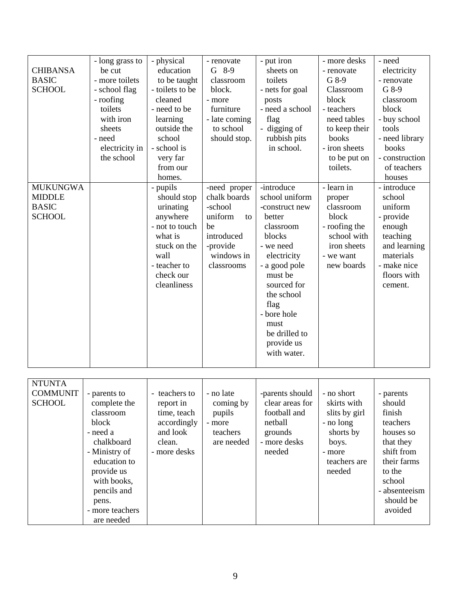| <b>CHIBANSA</b><br><b>BASIC</b><br><b>SCHOOL</b>                  | - long grass to<br>be cut<br>- more toilets<br>- school flag<br>- roofing<br>toilets<br>with iron<br>sheets<br>- need<br>electricity in<br>the school | - physical<br>education<br>to be taught<br>- toilets to be<br>cleaned<br>- need to be<br>learning<br>outside the<br>school<br>- school is<br>very far<br>from our<br>homes. | - renovate<br>$G$ 8-9<br>classroom<br>block.<br>- more<br>furniture<br>- late coming<br>to school<br>should stop.    | - put iron<br>sheets on<br>toilets<br>- nets for goal<br>posts<br>- need a school<br>flag<br>- digging of<br>rubbish pits<br>in school.                                                                                                           | - more desks<br>- renovate<br>G 8-9<br>Classroom<br>block<br>- teachers<br>need tables<br>to keep their<br>books<br>- iron sheets<br>to be put on<br>toilets. | - need<br>electricity<br>- renovate<br>G 8-9<br>classroom<br>block<br>- buy school<br>tools<br>- need library<br>books<br>- construction<br>of teachers<br>houses |
|-------------------------------------------------------------------|-------------------------------------------------------------------------------------------------------------------------------------------------------|-----------------------------------------------------------------------------------------------------------------------------------------------------------------------------|----------------------------------------------------------------------------------------------------------------------|---------------------------------------------------------------------------------------------------------------------------------------------------------------------------------------------------------------------------------------------------|---------------------------------------------------------------------------------------------------------------------------------------------------------------|-------------------------------------------------------------------------------------------------------------------------------------------------------------------|
| <b>MUKUNGWA</b><br><b>MIDDLE</b><br><b>BASIC</b><br><b>SCHOOL</b> |                                                                                                                                                       | - pupils<br>should stop<br>urinating<br>anywhere<br>- not to touch<br>what is<br>stuck on the<br>wall<br>- teacher to<br>check our<br>cleanliness                           | -need proper<br>chalk boards<br>-school<br>uniform<br>to<br>be<br>introduced<br>-provide<br>windows in<br>classrooms | -introduce<br>school uniform<br>-construct new<br>better<br>classroom<br>blocks<br>- we need<br>electricity<br>- a good pole<br>must be<br>sourced for<br>the school<br>flag<br>- bore hole<br>must<br>be drilled to<br>provide us<br>with water. | - learn in<br>proper<br>classroom<br>block<br>- roofing the<br>school with<br>iron sheets<br>- we want<br>new boards                                          | - introduce<br>school<br>uniform<br>- provide<br>enough<br>teaching<br>and learning<br>materials<br>- make nice<br>floors with<br>cement.                         |

| <b>NTUNTA</b><br><b>COMMUNIT</b><br><b>SCHOOL</b> | - parents to<br>complete the<br>classroom<br>block<br>- need a<br>chalkboard<br>- Ministry of<br>education to<br>provide us<br>with books,<br>pencils and<br>pens.<br>- more teachers<br>are needed | - teachers to<br>report in<br>time, teach<br>accordingly<br>and look<br>clean.<br>- more desks | - no late<br>coming by<br>pupils<br>- more<br>teachers<br>are needed | -parents should<br>clear areas for<br>football and<br>netball<br>grounds<br>- more desks<br>needed | - no short<br>skirts with<br>slits by girl<br>- no long<br>shorts by<br>boys.<br>- more<br>teachers are<br>needed | - parents<br>should<br>finish<br>teachers<br>houses so<br>that they<br>shift from<br>their farms<br>to the<br>school<br>- absenteeism<br>should be<br>avoided |
|---------------------------------------------------|-----------------------------------------------------------------------------------------------------------------------------------------------------------------------------------------------------|------------------------------------------------------------------------------------------------|----------------------------------------------------------------------|----------------------------------------------------------------------------------------------------|-------------------------------------------------------------------------------------------------------------------|---------------------------------------------------------------------------------------------------------------------------------------------------------------|
|---------------------------------------------------|-----------------------------------------------------------------------------------------------------------------------------------------------------------------------------------------------------|------------------------------------------------------------------------------------------------|----------------------------------------------------------------------|----------------------------------------------------------------------------------------------------|-------------------------------------------------------------------------------------------------------------------|---------------------------------------------------------------------------------------------------------------------------------------------------------------|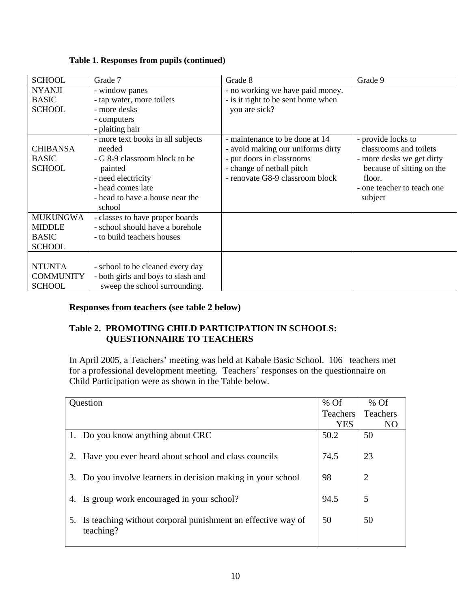| <b>SCHOOL</b>    | Grade 7                            | Grade 8                            | Grade 9                    |
|------------------|------------------------------------|------------------------------------|----------------------------|
| <b>NYANJI</b>    | - window panes                     | - no working we have paid money.   |                            |
| <b>BASIC</b>     | - tap water, more toilets          | - is it right to be sent home when |                            |
| <b>SCHOOL</b>    | - more desks                       | you are sick?                      |                            |
|                  | - computers                        |                                    |                            |
|                  | - plaiting hair                    |                                    |                            |
|                  | - more text books in all subjects  | - maintenance to be done at 14     | - provide locks to         |
| <b>CHIBANSA</b>  | needed                             | - avoid making our uniforms dirty  | classrooms and toilets     |
| <b>BASIC</b>     | - G 8-9 classroom block to be      | - put doors in classrooms          | - more desks we get dirty  |
| <b>SCHOOL</b>    | painted                            | - change of netball pitch          | because of sitting on the  |
|                  | - need electricity                 | - renovate G8-9 classroom block    | floor.                     |
|                  | - head comes late                  |                                    | - one teacher to teach one |
|                  | - head to have a house near the    |                                    | subject                    |
|                  | school                             |                                    |                            |
| <b>MUKUNGWA</b>  | - classes to have proper boards    |                                    |                            |
| <b>MIDDLE</b>    | - school should have a borehole    |                                    |                            |
| <b>BASIC</b>     | - to build teachers houses         |                                    |                            |
| <b>SCHOOL</b>    |                                    |                                    |                            |
|                  |                                    |                                    |                            |
| <b>NTUNTA</b>    | - school to be cleaned every day   |                                    |                            |
| <b>COMMUNITY</b> | - both girls and boys to slash and |                                    |                            |
| <b>SCHOOL</b>    | sweep the school surrounding.      |                                    |                            |

## **Table 1. Responses from pupils (continued)**

# **Responses from teachers (see table 2 below)**

## **Table 2. PROMOTING CHILD PARTICIPATION IN SCHOOLS: QUESTIONNAIRE TO TEACHERS**

In April 2005, a Teachers' meeting was held at Kabale Basic School. 106 teachers met for a professional development meeting. Teachers´ responses on the questionnaire on Child Participation were as shown in the Table below.

| Question |                                                                          | $%$ Of          | $%$ Of         |
|----------|--------------------------------------------------------------------------|-----------------|----------------|
|          |                                                                          | <b>Teachers</b> | Teachers       |
|          |                                                                          | <b>YES</b>      | NO             |
|          | 1. Do you know anything about CRC                                        | 50.2            | 50             |
|          | 2. Have you ever heard about school and class councils                   | 74.5            | 23             |
|          | 3. Do you involve learners in decision making in your school             | 98              | $\overline{2}$ |
|          | 4. Is group work encouraged in your school?                              | 94.5            | 5              |
| 5.       | Is teaching without corporal punishment an effective way of<br>teaching? | 50              | 50             |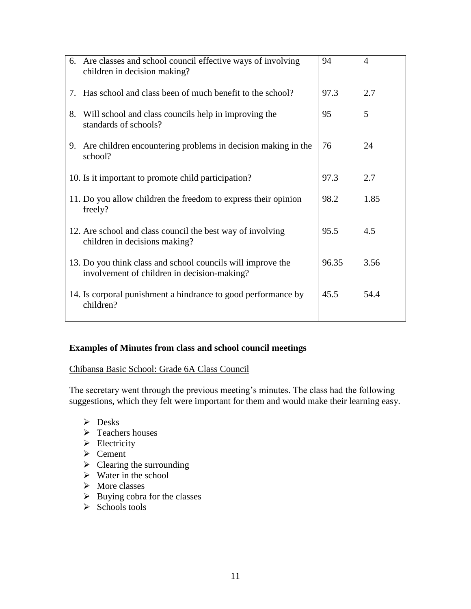| 6. Are classes and school council effective ways of involving<br>children in decision making?              | 94    | $\overline{4}$ |
|------------------------------------------------------------------------------------------------------------|-------|----------------|
| Has school and class been of much benefit to the school?<br>7.                                             | 97.3  | 2.7            |
| 8.<br>Will school and class councils help in improving the<br>standards of schools?                        | 95    | 5              |
| Are children encountering problems in decision making in the<br>9.<br>school?                              | 76    | 24             |
| 10. Is it important to promote child participation?                                                        | 97.3  | 2.7            |
| 11. Do you allow children the freedom to express their opinion<br>freely?                                  | 98.2  | 1.85           |
| 12. Are school and class council the best way of involving<br>children in decisions making?                | 95.5  | 4.5            |
| 13. Do you think class and school councils will improve the<br>involvement of children in decision-making? | 96.35 | 3.56           |
| 14. Is corporal punishment a hindrance to good performance by<br>children?                                 | 45.5  | 54.4           |

# **Examples of Minutes from class and school council meetings**

## Chibansa Basic School: Grade 6A Class Council

The secretary went through the previous meeting's minutes. The class had the following suggestions, which they felt were important for them and would make their learning easy.

- $\triangleright$  Desks
- > Teachers houses
- $\triangleright$  Electricity
- $\triangleright$  Cement
- $\triangleright$  Clearing the surrounding
- $\triangleright$  Water in the school
- $\triangleright$  More classes
- $\triangleright$  Buying cobra for the classes
- $\triangleright$  Schools tools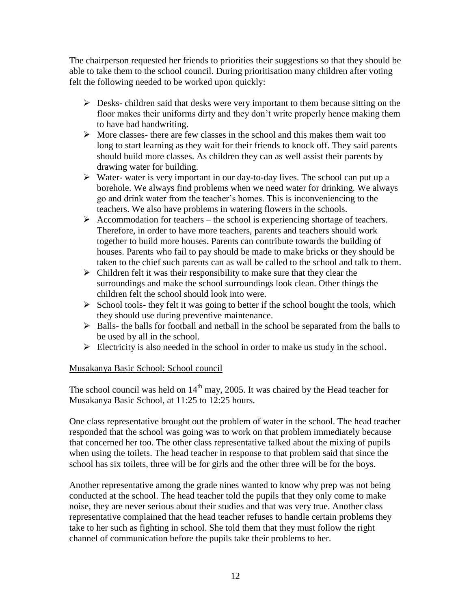The chairperson requested her friends to priorities their suggestions so that they should be able to take them to the school council. During prioritisation many children after voting felt the following needed to be worked upon quickly:

- $\triangleright$  Desks- children said that desks were very important to them because sitting on the floor makes their uniforms dirty and they don't write properly hence making them to have bad handwriting.
- $\triangleright$  More classes- there are few classes in the school and this makes them wait too long to start learning as they wait for their friends to knock off. They said parents should build more classes. As children they can as well assist their parents by drawing water for building.
- $\triangleright$  Water-water is very important in our day-to-day lives. The school can put up a borehole. We always find problems when we need water for drinking. We always go and drink water from the teacher's homes. This is inconveniencing to the teachers. We also have problems in watering flowers in the schools.
- $\triangleright$  Accommodation for teachers the school is experiencing shortage of teachers. Therefore, in order to have more teachers, parents and teachers should work together to build more houses. Parents can contribute towards the building of houses. Parents who fail to pay should be made to make bricks or they should be taken to the chief such parents can as wall be called to the school and talk to them.
- $\triangleright$  Children felt it was their responsibility to make sure that they clear the surroundings and make the school surroundings look clean. Other things the children felt the school should look into were.
- $\triangleright$  School tools- they felt it was going to better if the school bought the tools, which they should use during preventive maintenance.
- $\triangleright$  Balls- the balls for football and netball in the school be separated from the balls to be used by all in the school.
- $\triangleright$  Electricity is also needed in the school in order to make us study in the school.

# Musakanya Basic School: School council

The school council was held on  $14<sup>th</sup>$  may, 2005. It was chaired by the Head teacher for Musakanya Basic School, at 11:25 to 12:25 hours.

One class representative brought out the problem of water in the school. The head teacher responded that the school was going was to work on that problem immediately because that concerned her too. The other class representative talked about the mixing of pupils when using the toilets. The head teacher in response to that problem said that since the school has six toilets, three will be for girls and the other three will be for the boys.

Another representative among the grade nines wanted to know why prep was not being conducted at the school. The head teacher told the pupils that they only come to make noise, they are never serious about their studies and that was very true. Another class representative complained that the head teacher refuses to handle certain problems they take to her such as fighting in school. She told them that they must follow the right channel of communication before the pupils take their problems to her.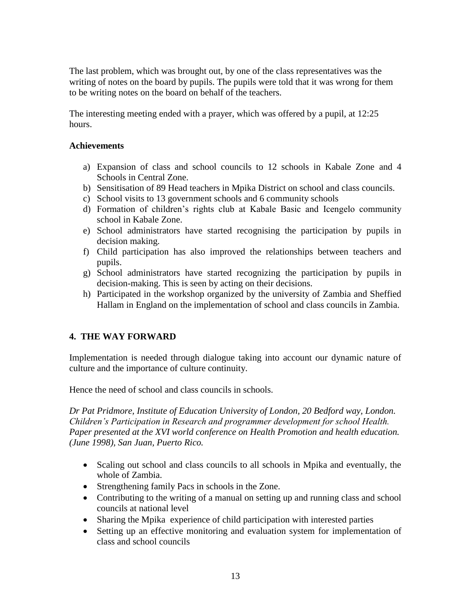The last problem, which was brought out, by one of the class representatives was the writing of notes on the board by pupils. The pupils were told that it was wrong for them to be writing notes on the board on behalf of the teachers.

The interesting meeting ended with a prayer, which was offered by a pupil, at 12:25 hours.

### **Achievements**

- a) Expansion of class and school councils to 12 schools in Kabale Zone and 4 Schools in Central Zone.
- b) Sensitisation of 89 Head teachers in Mpika District on school and class councils.
- c) School visits to 13 government schools and 6 community schools
- d) Formation of children's rights club at Kabale Basic and Icengelo community school in Kabale Zone.
- e) School administrators have started recognising the participation by pupils in decision making.
- f) Child participation has also improved the relationships between teachers and pupils.
- g) School administrators have started recognizing the participation by pupils in decision-making. This is seen by acting on their decisions.
- h) Participated in the workshop organized by the university of Zambia and Sheffied Hallam in England on the implementation of school and class councils in Zambia.

# **4. THE WAY FORWARD**

Implementation is needed through dialogue taking into account our dynamic nature of culture and the importance of culture continuity.

Hence the need of school and class councils in schools.

*Dr Pat Pridmore, Institute of Education University of London, 20 Bedford way, London. Children's Participation in Research and programmer development for school Health. Paper presented at the XVI world conference on Health Promotion and health education. (June 1998), San Juan, Puerto Rico.* 

- Scaling out school and class councils to all schools in Mpika and eventually, the whole of Zambia.
- Strengthening family Pacs in schools in the Zone.
- Contributing to the writing of a manual on setting up and running class and school councils at national level
- Sharing the Mpika experience of child participation with interested parties
- Setting up an effective monitoring and evaluation system for implementation of class and school councils